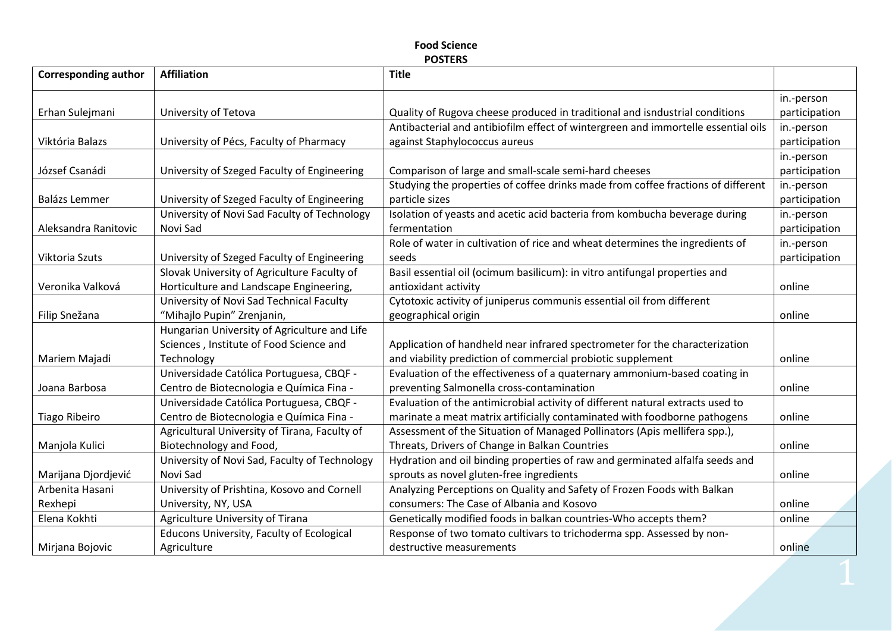## **Food Science POSTERS**

| <b>Corresponding author</b> | <b>Affiliation</b>                            | <b>Title</b>                                                                      |               |
|-----------------------------|-----------------------------------------------|-----------------------------------------------------------------------------------|---------------|
|                             |                                               |                                                                                   | in.-person    |
| Erhan Sulejmani             | University of Tetova                          | Quality of Rugova cheese produced in traditional and isndustrial conditions       | participation |
|                             |                                               | Antibacterial and antibiofilm effect of wintergreen and immortelle essential oils | in.-person    |
| Viktória Balazs             | University of Pécs, Faculty of Pharmacy       | against Staphylococcus aureus                                                     | participation |
|                             |                                               |                                                                                   | in.-person    |
| József Csanádi              | University of Szeged Faculty of Engineering   | Comparison of large and small-scale semi-hard cheeses                             | participation |
|                             |                                               | Studying the properties of coffee drinks made from coffee fractions of different  | in.-person    |
| Balázs Lemmer               | University of Szeged Faculty of Engineering   | particle sizes                                                                    | participation |
|                             | University of Novi Sad Faculty of Technology  | Isolation of yeasts and acetic acid bacteria from kombucha beverage during        | in.-person    |
| Aleksandra Ranitovic        | Novi Sad                                      | fermentation                                                                      | participation |
|                             |                                               | Role of water in cultivation of rice and wheat determines the ingredients of      | in.-person    |
| Viktoria Szuts              | University of Szeged Faculty of Engineering   | seeds                                                                             | participation |
|                             | Slovak University of Agriculture Faculty of   | Basil essential oil (ocimum basilicum): in vitro antifungal properties and        |               |
| Veronika Valková            | Horticulture and Landscape Engineering,       | antioxidant activity                                                              | online        |
|                             | University of Novi Sad Technical Faculty      | Cytotoxic activity of juniperus communis essential oil from different             |               |
| Filip Snežana               | "Mihajlo Pupin" Zrenjanin,                    | geographical origin                                                               | online        |
|                             | Hungarian University of Agriculture and Life  |                                                                                   |               |
|                             | Sciences, Institute of Food Science and       | Application of handheld near infrared spectrometer for the characterization       |               |
| Mariem Majadi               | Technology                                    | and viability prediction of commercial probiotic supplement                       | online        |
|                             | Universidade Católica Portuguesa, CBQF -      | Evaluation of the effectiveness of a quaternary ammonium-based coating in         |               |
| Joana Barbosa               | Centro de Biotecnologia e Química Fina -      | preventing Salmonella cross-contamination                                         | online        |
|                             | Universidade Católica Portuguesa, CBQF -      | Evaluation of the antimicrobial activity of different natural extracts used to    |               |
| Tiago Ribeiro               | Centro de Biotecnologia e Química Fina -      | marinate a meat matrix artificially contaminated with foodborne pathogens         | online        |
|                             | Agricultural University of Tirana, Faculty of | Assessment of the Situation of Managed Pollinators (Apis mellifera spp.),         |               |
| Manjola Kulici              | Biotechnology and Food,                       | Threats, Drivers of Change in Balkan Countries                                    | online        |
|                             | University of Novi Sad, Faculty of Technology | Hydration and oil binding properties of raw and germinated alfalfa seeds and      |               |
| Marijana Djordjević         | Novi Sad                                      | sprouts as novel gluten-free ingredients                                          | online        |
| Arbenita Hasani             | University of Prishtina, Kosovo and Cornell   | Analyzing Perceptions on Quality and Safety of Frozen Foods with Balkan           |               |
| Rexhepi                     | University, NY, USA                           | consumers: The Case of Albania and Kosovo                                         | online        |
| Elena Kokhti                | Agriculture University of Tirana              | Genetically modified foods in balkan countries-Who accepts them?                  | online        |
|                             | Educons University, Faculty of Ecological     | Response of two tomato cultivars to trichoderma spp. Assessed by non-             |               |
| Mirjana Bojovic             | Agriculture                                   | destructive measurements                                                          | online        |
|                             |                                               |                                                                                   |               |
|                             |                                               |                                                                                   |               |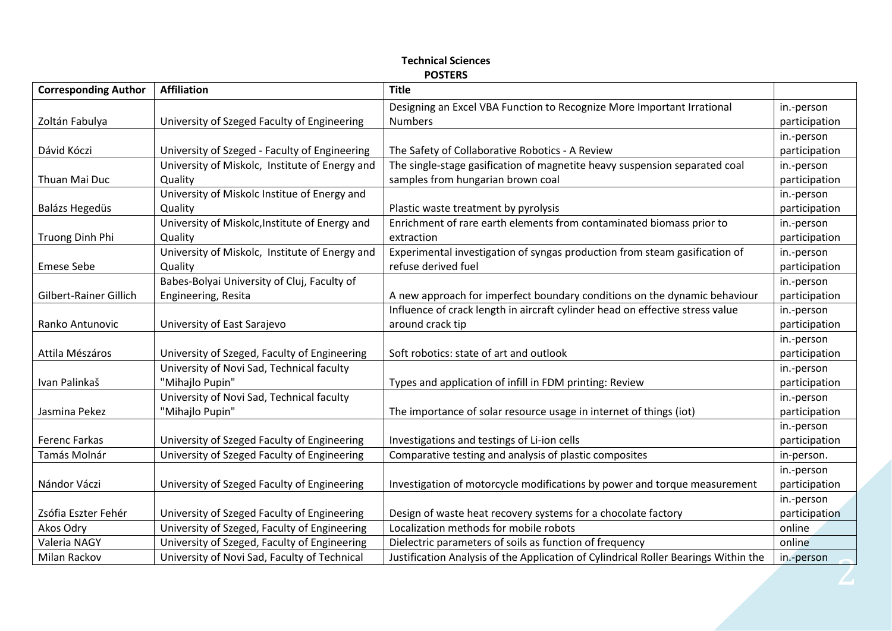# **Technical Sciences POSTERS**

| <b>Corresponding Author</b> | <b>Affiliation</b>                             | <b>Title</b>                                                                        |               |
|-----------------------------|------------------------------------------------|-------------------------------------------------------------------------------------|---------------|
|                             |                                                | Designing an Excel VBA Function to Recognize More Important Irrational              | in.-person    |
| Zoltán Fabulya              | University of Szeged Faculty of Engineering    | <b>Numbers</b>                                                                      | participation |
|                             |                                                |                                                                                     | in.-person    |
| Dávid Kóczi                 | University of Szeged - Faculty of Engineering  | The Safety of Collaborative Robotics - A Review                                     | participation |
|                             | University of Miskolc, Institute of Energy and | The single-stage gasification of magnetite heavy suspension separated coal          | in.-person    |
| Thuan Mai Duc               | Quality                                        | samples from hungarian brown coal                                                   | participation |
|                             | University of Miskolc Institue of Energy and   |                                                                                     | in.-person    |
| Balázs Hegedüs              | Quality                                        | Plastic waste treatment by pyrolysis                                                | participation |
|                             | University of Miskolc, Institute of Energy and | Enrichment of rare earth elements from contaminated biomass prior to                | in.-person    |
| Truong Dinh Phi             | Quality                                        | extraction                                                                          | participation |
|                             | University of Miskolc, Institute of Energy and | Experimental investigation of syngas production from steam gasification of          | in.-person    |
| <b>Emese Sebe</b>           | Quality                                        | refuse derived fuel                                                                 | participation |
|                             | Babes-Bolyai University of Cluj, Faculty of    |                                                                                     | in.-person    |
| Gilbert-Rainer Gillich      | Engineering, Resita                            | A new approach for imperfect boundary conditions on the dynamic behaviour           | participation |
|                             |                                                | Influence of crack length in aircraft cylinder head on effective stress value       | in.-person    |
| Ranko Antunovic             | University of East Sarajevo                    | around crack tip                                                                    | participation |
|                             |                                                |                                                                                     | in.-person    |
| Attila Mészáros             | University of Szeged, Faculty of Engineering   | Soft robotics: state of art and outlook                                             | participation |
|                             | University of Novi Sad, Technical faculty      |                                                                                     | in.-person    |
| Ivan Palinkaš               | "Mihajlo Pupin"                                | Types and application of infill in FDM printing: Review                             | participation |
|                             | University of Novi Sad, Technical faculty      |                                                                                     | in.-person    |
| Jasmina Pekez               | "Mihajlo Pupin"                                | The importance of solar resource usage in internet of things (iot)                  | participation |
|                             |                                                |                                                                                     | in.-person    |
| Ferenc Farkas               | University of Szeged Faculty of Engineering    | Investigations and testings of Li-ion cells                                         | participation |
| Tamás Molnár                | University of Szeged Faculty of Engineering    | Comparative testing and analysis of plastic composites                              | in-person.    |
|                             |                                                |                                                                                     | in.-person    |
| Nándor Váczi                | University of Szeged Faculty of Engineering    | Investigation of motorcycle modifications by power and torque measurement           | participation |
|                             |                                                |                                                                                     | in.-person    |
| Zsófia Eszter Fehér         | University of Szeged Faculty of Engineering    | Design of waste heat recovery systems for a chocolate factory                       | participation |
| Akos Odry                   | University of Szeged, Faculty of Engineering   | Localization methods for mobile robots                                              | online        |
| Valeria NAGY                | University of Szeged, Faculty of Engineering   | Dielectric parameters of soils as function of frequency                             | online        |
| Milan Rackov                | University of Novi Sad, Faculty of Technical   | Justification Analysis of the Application of Cylindrical Roller Bearings Within the | in.-person    |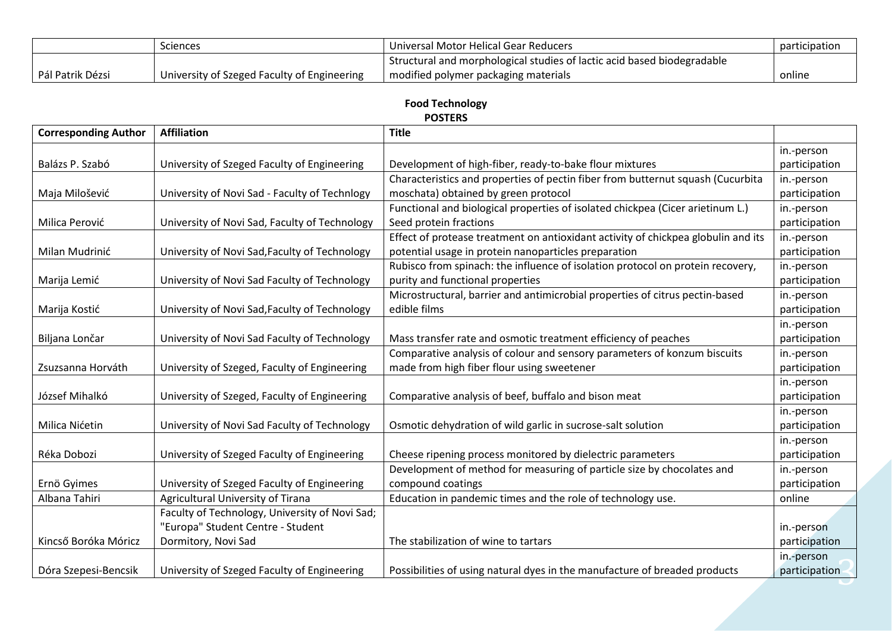|                  | <b>Sciences</b>                             | Universal Motor Helical Gear Reducers                                   | participation |
|------------------|---------------------------------------------|-------------------------------------------------------------------------|---------------|
|                  |                                             | Structural and morphological studies of lactic acid based biodegradable |               |
| Pál Patrik Dézsi | University of Szeged Faculty of Engineering | modified polymer packaging materials                                    | online        |

## **Food Technology POSTERS**

| <b>Corresponding Author</b> | <b>Affiliation</b>                             | <b>Title</b>                                                                      |               |
|-----------------------------|------------------------------------------------|-----------------------------------------------------------------------------------|---------------|
|                             |                                                |                                                                                   | in.-person    |
| Balázs P. Szabó             | University of Szeged Faculty of Engineering    | Development of high-fiber, ready-to-bake flour mixtures                           | participation |
|                             |                                                | Characteristics and properties of pectin fiber from butternut squash (Cucurbita   | in.-person    |
| Maja Milošević              | University of Novi Sad - Faculty of Technlogy  | moschata) obtained by green protocol                                              | participation |
|                             |                                                | Functional and biological properties of isolated chickpea (Cicer arietinum L.)    | in.-person    |
| Milica Perović              | University of Novi Sad, Faculty of Technology  | Seed protein fractions                                                            | participation |
|                             |                                                | Effect of protease treatment on antioxidant activity of chickpea globulin and its | in.-person    |
| Milan Mudrinić              | University of Novi Sad, Faculty of Technology  | potential usage in protein nanoparticles preparation                              | participation |
|                             |                                                | Rubisco from spinach: the influence of isolation protocol on protein recovery,    | in.-person    |
| Marija Lemić                | University of Novi Sad Faculty of Technology   | purity and functional properties                                                  | participation |
|                             |                                                | Microstructural, barrier and antimicrobial properties of citrus pectin-based      | in.-person    |
| Marija Kostić               | University of Novi Sad, Faculty of Technology  | edible films                                                                      | participation |
|                             |                                                |                                                                                   | in.-person    |
| Biljana Lončar              | University of Novi Sad Faculty of Technology   | Mass transfer rate and osmotic treatment efficiency of peaches                    | participation |
|                             |                                                | Comparative analysis of colour and sensory parameters of konzum biscuits          | in.-person    |
| Zsuzsanna Horváth           | University of Szeged, Faculty of Engineering   | made from high fiber flour using sweetener                                        | participation |
|                             |                                                |                                                                                   | in.-person    |
| József Mihalkó              | University of Szeged, Faculty of Engineering   | Comparative analysis of beef, buffalo and bison meat                              | participation |
|                             |                                                |                                                                                   | in.-person    |
| Milica Nićetin              | University of Novi Sad Faculty of Technology   | Osmotic dehydration of wild garlic in sucrose-salt solution                       | participation |
|                             |                                                |                                                                                   | in.-person    |
| Réka Dobozi                 | University of Szeged Faculty of Engineering    | Cheese ripening process monitored by dielectric parameters                        | participation |
|                             |                                                | Development of method for measuring of particle size by chocolates and            | in.-person    |
| Ernö Gyimes                 | University of Szeged Faculty of Engineering    | compound coatings                                                                 | participation |
| Albana Tahiri               | Agricultural University of Tirana              | Education in pandemic times and the role of technology use.                       | online        |
|                             | Faculty of Technology, University of Novi Sad; |                                                                                   |               |
|                             | "Europa" Student Centre - Student              |                                                                                   | in.-person    |
| Kincső Boróka Móricz        | Dormitory, Novi Sad                            | The stabilization of wine to tartars                                              | participation |
|                             |                                                |                                                                                   | in.-person    |
| Dóra Szepesi-Bencsik        | University of Szeged Faculty of Engineering    | Possibilities of using natural dyes in the manufacture of breaded products        | participation |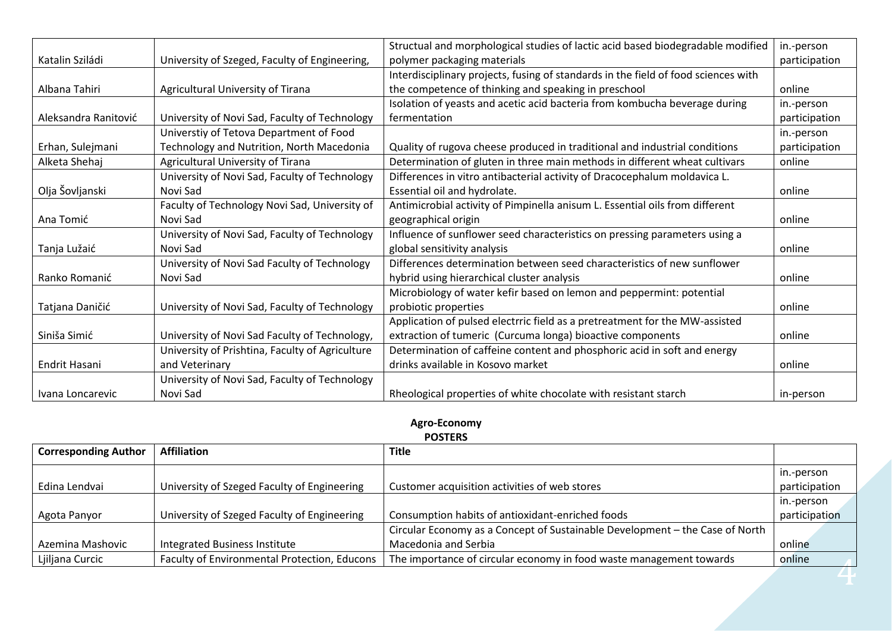|                      |                                                 | Structual and morphological studies of lactic acid based biodegradable modified    | in.-person    |
|----------------------|-------------------------------------------------|------------------------------------------------------------------------------------|---------------|
| Katalin Sziládi      | University of Szeged, Faculty of Engineering,   | polymer packaging materials                                                        | participation |
|                      |                                                 | Interdisciplinary projects, fusing of standards in the field of food sciences with |               |
| Albana Tahiri        | Agricultural University of Tirana               | the competence of thinking and speaking in preschool                               | online        |
|                      |                                                 | Isolation of yeasts and acetic acid bacteria from kombucha beverage during         | in.-person    |
| Aleksandra Ranitović | University of Novi Sad, Faculty of Technology   | fermentation                                                                       | participation |
|                      | Universtiy of Tetova Department of Food         |                                                                                    | in.-person    |
| Erhan, Sulejmani     | Technology and Nutrition, North Macedonia       | Quality of rugova cheese produced in traditional and industrial conditions         | participation |
| Alketa Shehaj        | Agricultural University of Tirana               | Determination of gluten in three main methods in different wheat cultivars         | online        |
|                      | University of Novi Sad, Faculty of Technology   | Differences in vitro antibacterial activity of Dracocephalum moldavica L.          |               |
| Olja Šovljanski      | Novi Sad                                        | Essential oil and hydrolate.                                                       | online        |
|                      | Faculty of Technology Novi Sad, University of   | Antimicrobial activity of Pimpinella anisum L. Essential oils from different       |               |
| Ana Tomić            | Novi Sad                                        | geographical origin                                                                | online        |
|                      | University of Novi Sad, Faculty of Technology   | Influence of sunflower seed characteristics on pressing parameters using a         |               |
| Tanja Lužaić         | Novi Sad                                        | global sensitivity analysis                                                        | online        |
|                      | University of Novi Sad Faculty of Technology    | Differences determination between seed characteristics of new sunflower            |               |
| Ranko Romanić        | Novi Sad                                        | hybrid using hierarchical cluster analysis                                         | online        |
|                      |                                                 | Microbiology of water kefir based on lemon and peppermint: potential               |               |
| Tatjana Daničić      | University of Novi Sad, Faculty of Technology   | probiotic properties                                                               | online        |
|                      |                                                 | Application of pulsed electrric field as a pretreatment for the MW-assisted        |               |
| Siniša Simić         | University of Novi Sad Faculty of Technology,   | extraction of tumeric (Curcuma longa) bioactive components                         | online        |
|                      | University of Prishtina, Faculty of Agriculture | Determination of caffeine content and phosphoric acid in soft and energy           |               |
| Endrit Hasani        | and Veterinary                                  | drinks available in Kosovo market                                                  | online        |
|                      | University of Novi Sad, Faculty of Technology   |                                                                                    |               |
| Ivana Loncarevic     | Novi Sad                                        | Rheological properties of white chocolate with resistant starch                    | in-person     |

#### **Agro-Economy POSTERS**

| <b>Corresponding Author</b> | <b>Affiliation</b>                           | <b>Title</b>                                                                 |               |
|-----------------------------|----------------------------------------------|------------------------------------------------------------------------------|---------------|
|                             |                                              |                                                                              | in.-person    |
| Edina Lendvai               | University of Szeged Faculty of Engineering  | Customer acquisition activities of web stores                                | participation |
|                             |                                              |                                                                              | in.-person    |
| Agota Panyor                | University of Szeged Faculty of Engineering  | Consumption habits of antioxidant-enriched foods                             | participation |
|                             |                                              | Circular Economy as a Concept of Sustainable Development - the Case of North |               |
| Azemina Mashovic            | Integrated Business Institute                | Macedonia and Serbia                                                         | online        |
| Ljiljana Curcic             | Faculty of Environmental Protection, Educons | The importance of circular economy in food waste management towards          | online        |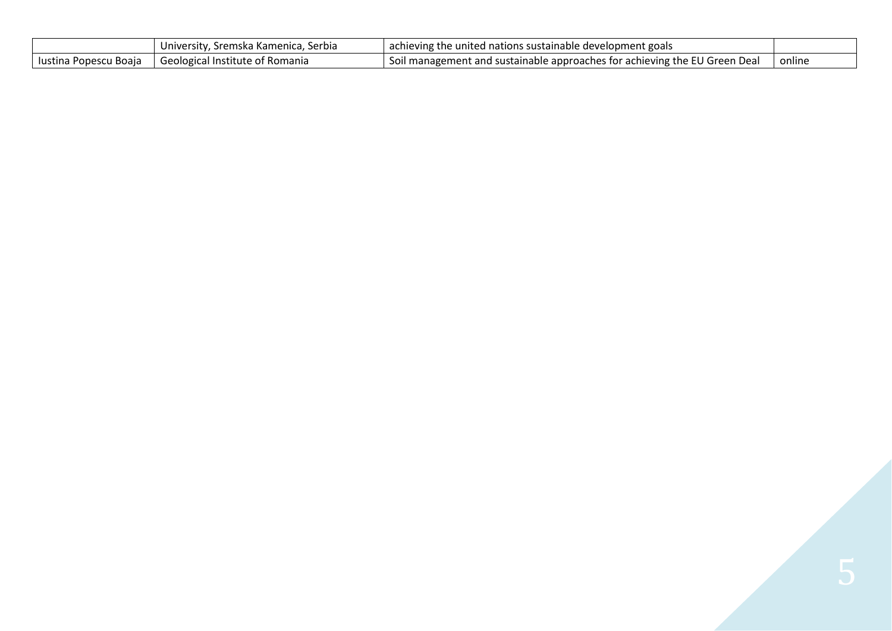|                       | " University, Sremska Kamenica, Serbia | achieving the united nations sustainable development goals                        |        |
|-----------------------|----------------------------------------|-----------------------------------------------------------------------------------|--------|
| lustina Popescu Boaja | l Geological Institute of Romania      | <b>Soll management and sustainable approaches for achieving the EU Green Deal</b> | online |